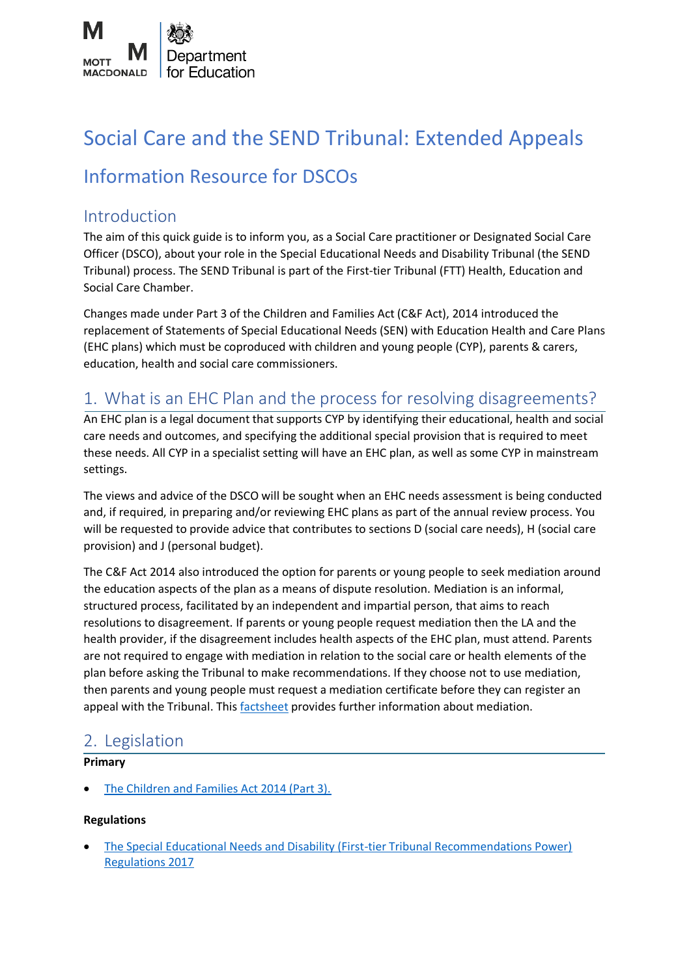

# Social Care and the SEND Tribunal: Extended Appeals

## Information Resource for DSCOs

## Introduction

The aim of this quick guide is to inform you, as a Social Care practitioner or Designated Social Care Officer (DSCO), about your role in the Special Educational Needs and Disability Tribunal (the SEND Tribunal) process. The SEND Tribunal is part of the First-tier Tribunal (FTT) Health, Education and Social Care Chamber.

Changes made under Part 3 of the Children and Families Act (C&F Act), 2014 introduced the replacement of Statements of Special Educational Needs (SEN) with Education Health and Care Plans (EHC plans) which must be coproduced with children and young people (CYP), parents & carers, education, health and social care commissioners.

## 1. What is an EHC Plan and the process for resolving disagreements?

An EHC plan is a legal document that supports CYP by identifying their educational, health and social care needs and outcomes, and specifying the additional special provision that is required to meet these needs. All CYP in a specialist setting will have an EHC plan, as well as some CYP in mainstream settings.

The views and advice of the DSCO will be sought when an EHC needs assessment is being conducted and, if required, in preparing and/or reviewing EHC plans as part of the annual review process. You will be requested to provide advice that contributes to sections D (social care needs), H (social care provision) and J (personal budget).

The C&F Act 2014 also introduced the option for parents or young people to seek mediation around the education aspects of the plan as a means of dispute resolution. Mediation is an informal, structured process, facilitated by an independent and impartial person, that aims to reach resolutions to disagreement. If parents or young people request mediation then the LA and the health provider, if the disagreement includes health aspects of the EHC plan, must attend. Parents are not required to engage with mediation in relation to the social care or health elements of the plan before asking the Tribunal to make recommendations. If they choose not to use mediation, then parents and young people must request a mediation certificate before they can register an appeal with the Tribunal. This [factsheet](https://www.mottmac.com/download/save?id=40699&cultureid=127&filename=factsheet3mediationpdf) provides further information about mediation.

## 2. Legislation

## **Primary**

• [The Children and Families Act 2014 \(Part 3\).](https://www.legislation.gov.uk/ukpga/2014/6/part/3/enacted)

## **Regulations**

• [The Special Educational Needs and Disability \(First-tier Tribunal Recommendations Power\)](https://www.legislation.gov.uk/uksi/2017/1306/contents)  [Regulations 2017](https://www.legislation.gov.uk/uksi/2017/1306/contents)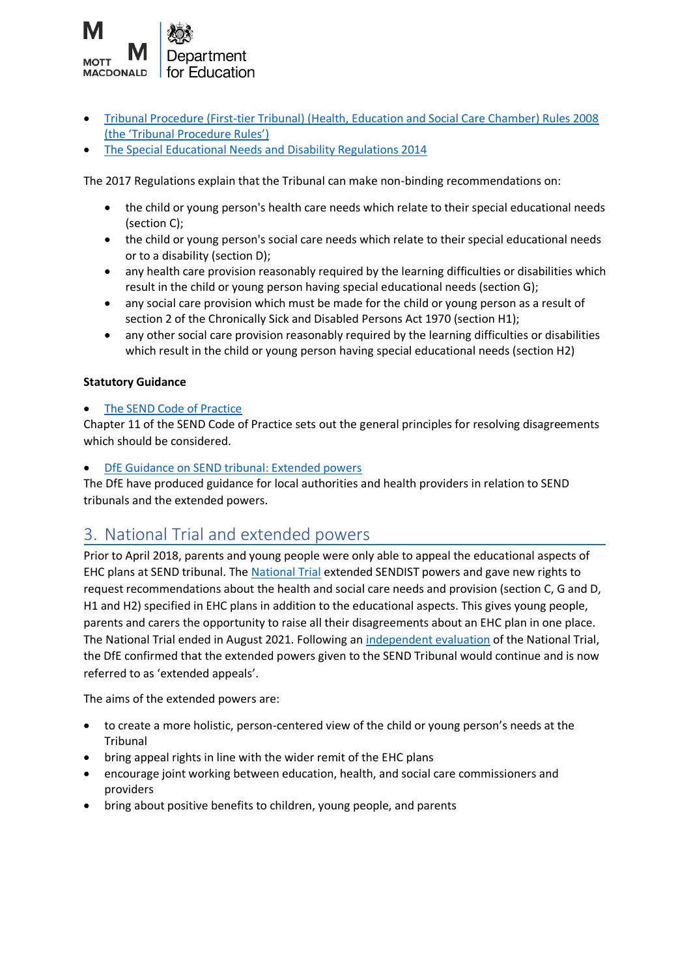

- [Tribunal Procedure \(First-tier Tribunal\) \(Health, Education and Social Care Chamber\) Rules 2008](https://www.legislation.gov.uk/uksi/2008/2699/made)  [\(the 'Tribunal Procedure Rules'\)](https://www.legislation.gov.uk/uksi/2008/2699/made)
- [The Special Educational Needs and](https://www.legislation.gov.uk/uksi/2014/1530/contents) Disability Regulations 2014

The 2017 Regulations explain that the Tribunal can make non-binding recommendations on:

- the child or young person's health care needs which relate to their special educational needs (section C);
- the child or young person's social care needs which relate to their special educational needs or to a disability (section D);
- any health care provision reasonably required by the learning difficulties or disabilities which result in the child or young person having special educational needs (section G);
- any social care provision which must be made for the child or young person as a result of section 2 of the Chronically Sick and Disabled Persons Act 1970 (section H1);
- any other social care provision reasonably required by the learning difficulties or disabilities which result in the child or young person having special educational needs (section H2)

## **Statutory Guidance**

## [The SEND Code of Practice](https://assets.publishing.service.gov.uk/government/uploads/system/uploads/attachment_data/file/398815/SEND_Code_of_Practice_January_2015.pdf)

Chapter 11 of the SEND Code of Practice sets out the general principles for resolving disagreements which should be considered.

## • DfE Guidance on [SEND tribunal: Extended powers](https://assets.publishing.service.gov.uk/government/uploads/system/uploads/attachment_data/file/1014438/DBOT_2122_single_route_of_redress_guidance_-_1_September_2021.pdf)

The DfE have produced guidance for local authorities and health providers in relation to SEND tribunals and the extended powers.

## 3. National Trial and extended powers

Prior to April 2018, parents and young people were only able to appeal the educational aspects of EHC plans at SEND tribunal. The [National Trial](https://assets.publishing.service.gov.uk/government/uploads/system/uploads/attachment_data/file/1014438/DBOT_2122_single_route_of_redress_guidance_-_1_September_2021.pdf) extended SENDIST powers and gave new rights to request recommendations about the health and social care needs and provision (section C, G and D, H1 and H2) specified in EHC plans in addition to the educational aspects. This gives young people, parents and carers the opportunity to raise all their disagreements about an EHC plan in one place. The National Trial ended in August 2021. Following an [independent evaluation](https://assets.publishing.service.gov.uk/government/uploads/system/uploads/attachment_data/file/1004123/SEND_tribunal_national_trial_independent_evaluation_July_2021.pdf) of the National Trial, the DfE confirmed that the extended powers given to the SEND Tribunal would continue and is now referred to as 'extended appeals'.

The aims of the extended powers are:

- to create a more holistic, person-centered view of the child or young person's needs at the Tribunal
- bring appeal rights in line with the wider remit of the EHC plans
- encourage joint working between education, health, and social care commissioners and providers
- bring about positive benefits to children, young people, and parents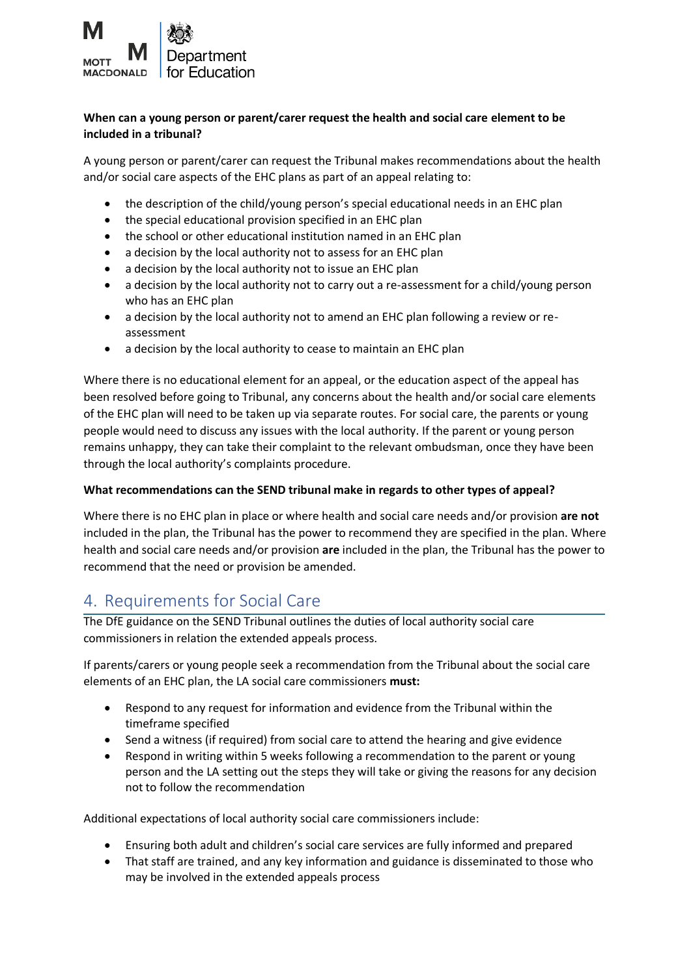

## **When can a young person or parent/carer request the health and social care element to be included in a tribunal?**

A young person or parent/carer can request the Tribunal makes recommendations about the health and/or social care aspects of the EHC plans as part of an appeal relating to:

- the description of the child/young person's special educational needs in an EHC plan
- the special educational provision specified in an EHC plan
- the school or other educational institution named in an EHC plan
- a decision by the local authority not to assess for an EHC plan
- a decision by the local authority not to issue an EHC plan
- a decision by the local authority not to carry out a re-assessment for a child/young person who has an EHC plan
- a decision by the local authority not to amend an EHC plan following a review or reassessment
- a decision by the local authority to cease to maintain an EHC plan

Where there is no educational element for an appeal, or the education aspect of the appeal has been resolved before going to Tribunal, any concerns about the health and/or social care elements of the EHC plan will need to be taken up via separate routes. For social care, the parents or young people would need to discuss any issues with the local authority. If the parent or young person remains unhappy, they can take their complaint to the relevant ombudsman, once they have been through the local authority's complaints procedure.

### **What recommendations can the SEND tribunal make in regards to other types of appeal?**

Where there is no EHC plan in place or where health and social care needs and/or provision **are not**  included in the plan, the Tribunal has the power to recommend they are specified in the plan. Where health and social care needs and/or provision **are** included in the plan, the Tribunal has the power to recommend that the need or provision be amended.

## 4. Requirements for Social Care

The DfE guidance on the SEND Tribunal outlines the duties of local authority social care commissioners in relation the extended appeals process.

If parents/carers or young people seek a recommendation from the Tribunal about the social care elements of an EHC plan, the LA social care commissioners **must:**

- Respond to any request for information and evidence from the Tribunal within the timeframe specified
- Send a witness (if required) from social care to attend the hearing and give evidence
- Respond in writing within 5 weeks following a recommendation to the parent or young person and the LA setting out the steps they will take or giving the reasons for any decision not to follow the recommendation

Additional expectations of local authority social care commissioners include:

- Ensuring both adult and children's social care services are fully informed and prepared
- That staff are trained, and any key information and guidance is disseminated to those who may be involved in the extended appeals process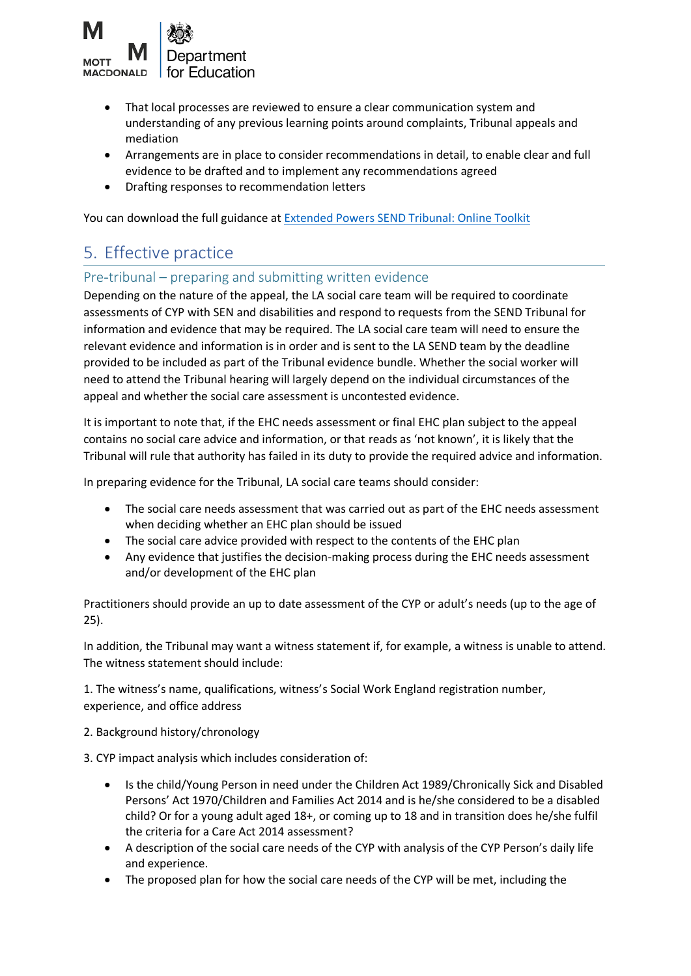

- That local processes are reviewed to ensure a clear communication system and understanding of any previous learning points around complaints, Tribunal appeals and mediation
- Arrangements are in place to consider recommendations in detail, to enable clear and full evidence to be drafted and to implement any recommendations agreed
- Drafting responses to recommendation letters

You can download the full guidance at [Extended Powers SEND Tribunal: Online Toolkit](https://www.sendpathfinder.co.uk/single-route-of-redress) 

## 5. Effective practice

## Pre-tribunal – preparing and submitting written evidence

Depending on the nature of the appeal, the LA social care team will be required to coordinate assessments of CYP with SEN and disabilities and respond to requests from the SEND Tribunal for information and evidence that may be required. The LA social care team will need to ensure the relevant evidence and information is in order and is sent to the LA SEND team by the deadline provided to be included as part of the Tribunal evidence bundle. Whether the social worker will need to attend the Tribunal hearing will largely depend on the individual circumstances of the appeal and whether the social care assessment is uncontested evidence.

It is important to note that, if the EHC needs assessment or final EHC plan subject to the appeal contains no social care advice and information, or that reads as 'not known', it is likely that the Tribunal will rule that authority has failed in its duty to provide the required advice and information.

In preparing evidence for the Tribunal, LA social care teams should consider:

- The social care needs assessment that was carried out as part of the EHC needs assessment when deciding whether an EHC plan should be issued
- The social care advice provided with respect to the contents of the EHC plan
- Any evidence that justifies the decision-making process during the EHC needs assessment and/or development of the EHC plan

Practitioners should provide an up to date assessment of the CYP or adult's needs (up to the age of 25).

In addition, the Tribunal may want a witness statement if, for example, a witness is unable to attend. The witness statement should include:

1. The witness's name, qualifications, witness's Social Work England registration number, experience, and office address

### 2. Background history/chronology

3. CYP impact analysis which includes consideration of:

- Is the child/Young Person in need under the Children Act 1989/Chronically Sick and Disabled Persons' Act 1970/Children and Families Act 2014 and is he/she considered to be a disabled child? Or for a young adult aged 18+, or coming up to 18 and in transition does he/she fulfil the criteria for a Care Act 2014 assessment?
- A description of the social care needs of the CYP with analysis of the CYP Person's daily life and experience.
- The proposed plan for how the social care needs of the CYP will be met, including the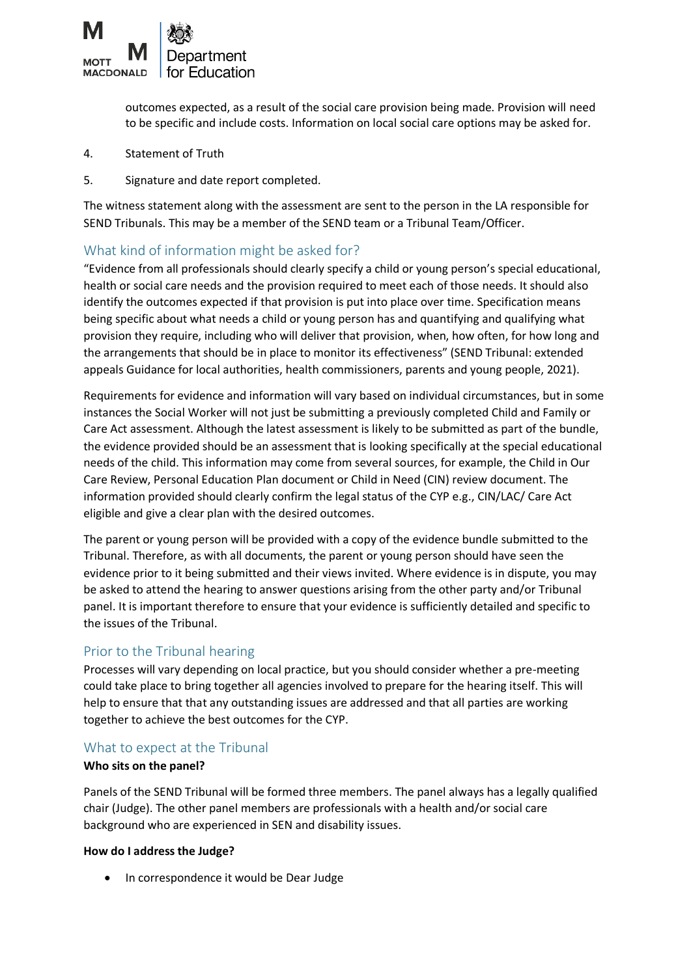

outcomes expected, as a result of the social care provision being made. Provision will need to be specific and include costs. Information on local social care options may be asked for.

- 4. Statement of Truth
- 5. Signature and date report completed.

The witness statement along with the assessment are sent to the person in the LA responsible for SEND Tribunals. This may be a member of the SEND team or a Tribunal Team/Officer.

## What kind of information might be asked for?

"Evidence from all professionals should clearly specify a child or young person's special educational, health or social care needs and the provision required to meet each of those needs. It should also identify the outcomes expected if that provision is put into place over time. Specification means being specific about what needs a child or young person has and quantifying and qualifying what provision they require, including who will deliver that provision, when, how often, for how long and the arrangements that should be in place to monitor its effectiveness" (SEND Tribunal: extended appeals Guidance for local authorities, health commissioners, parents and young people, 2021).

Requirements for evidence and information will vary based on individual circumstances, but in some instances the Social Worker will not just be submitting a previously completed Child and Family or Care Act assessment. Although the latest assessment is likely to be submitted as part of the bundle, the evidence provided should be an assessment that is looking specifically at the special educational needs of the child. This information may come from several sources, for example, the Child in Our Care Review, Personal Education Plan document or Child in Need (CIN) review document. The information provided should clearly confirm the legal status of the CYP e.g., CIN/LAC/ Care Act eligible and give a clear plan with the desired outcomes.

The parent or young person will be provided with a copy of the evidence bundle submitted to the Tribunal. Therefore, as with all documents, the parent or young person should have seen the evidence prior to it being submitted and their views invited. Where evidence is in dispute, you may be asked to attend the hearing to answer questions arising from the other party and/or Tribunal panel. It is important therefore to ensure that your evidence is sufficiently detailed and specific to the issues of the Tribunal.

## Prior to the Tribunal hearing

Processes will vary depending on local practice, but you should consider whether a pre-meeting could take place to bring together all agencies involved to prepare for the hearing itself. This will help to ensure that that any outstanding issues are addressed and that all parties are working together to achieve the best outcomes for the CYP.

## What to expect at the Tribunal

### **Who sits on the panel?**

Panels of the SEND Tribunal will be formed three members. The panel always has a legally qualified chair (Judge). The other panel members are professionals with a health and/or social care background who are experienced in SEN and disability issues.

### **How do I address the Judge?**

• In correspondence it would be Dear Judge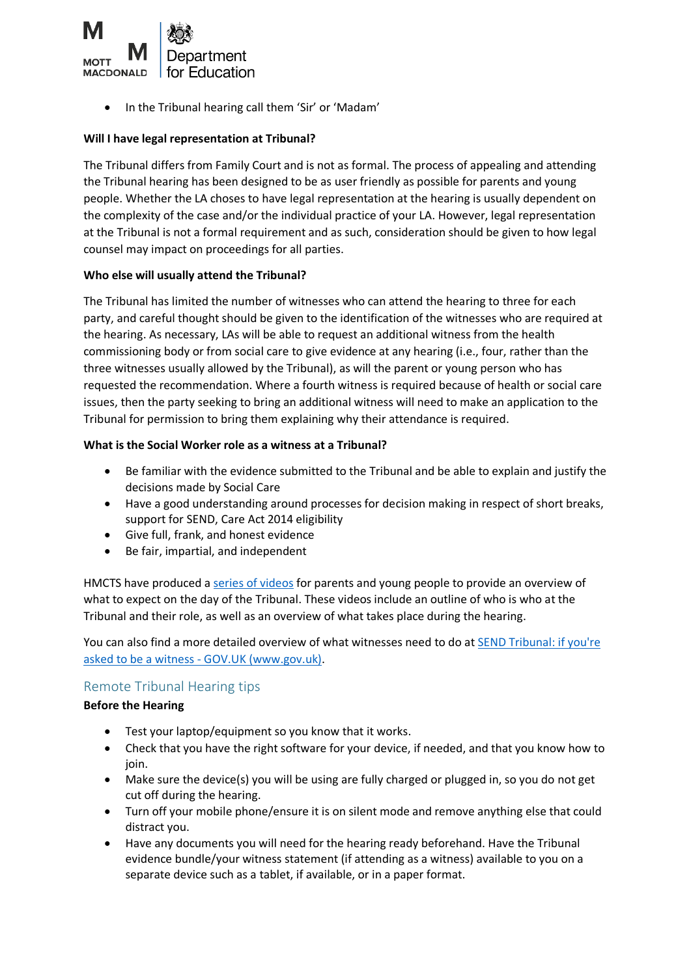

• In the Tribunal hearing call them 'Sir' or 'Madam'

## **Will I have legal representation at Tribunal?**

The Tribunal differs from Family Court and is not as formal. The process of appealing and attending the Tribunal hearing has been designed to be as user friendly as possible for parents and young people. Whether the LA choses to have legal representation at the hearing is usually dependent on the complexity of the case and/or the individual practice of your LA. However, legal representation at the Tribunal is not a formal requirement and as such, consideration should be given to how legal counsel may impact on proceedings for all parties.

### **Who else will usually attend the Tribunal?**

The Tribunal has limited the number of witnesses who can attend the hearing to three for each party, and careful thought should be given to the identification of the witnesses who are required at the hearing. As necessary, LAs will be able to request an additional witness from the health commissioning body or from social care to give evidence at any hearing (i.e., four, rather than the three witnesses usually allowed by the Tribunal), as will the parent or young person who has requested the recommendation. Where a fourth witness is required because of health or social care issues, then the party seeking to bring an additional witness will need to make an application to the Tribunal for permission to bring them explaining why their attendance is required.

## **What is the Social Worker role as a witness at a Tribunal?**

- Be familiar with the evidence submitted to the Tribunal and be able to explain and justify the decisions made by Social Care
- Have a good understanding around processes for decision making in respect of short breaks, support for SEND, Care Act 2014 eligibility
- Give full, frank, and honest evidence
- Be fair, impartial, and independent

HMCTS have produced a [series of videos](https://www.youtube.com/playlist?app=desktop&list=PLORVvk_w75PxU3wF72j3jLYqGqISyMhZ4) for parents and young people to provide an overview of what to expect on the day of the Tribunal. These videos include an outline of who is who at the Tribunal and their role, as well as an overview of what takes place during the hearing.

You can also find a more detailed overview of what witnesses need to do at [SEND Tribunal: if you're](https://www.gov.uk/guidance/send-tribunal-if-youre-asked-to-be-a-witness#expert-witnesses-writing-reports)  asked to be a witness - [GOV.UK \(www.gov.uk\).](https://www.gov.uk/guidance/send-tribunal-if-youre-asked-to-be-a-witness#expert-witnesses-writing-reports)

## Remote Tribunal Hearing tips

## **Before the Hearing**

- Test your laptop/equipment so you know that it works.
- Check that you have the right software for your device, if needed, and that you know how to join.
- Make sure the device(s) you will be using are fully charged or plugged in, so you do not get cut off during the hearing.
- Turn off your mobile phone/ensure it is on silent mode and remove anything else that could distract you.
- Have any documents you will need for the hearing ready beforehand. Have the Tribunal evidence bundle/your witness statement (if attending as a witness) available to you on a separate device such as a tablet, if available, or in a paper format.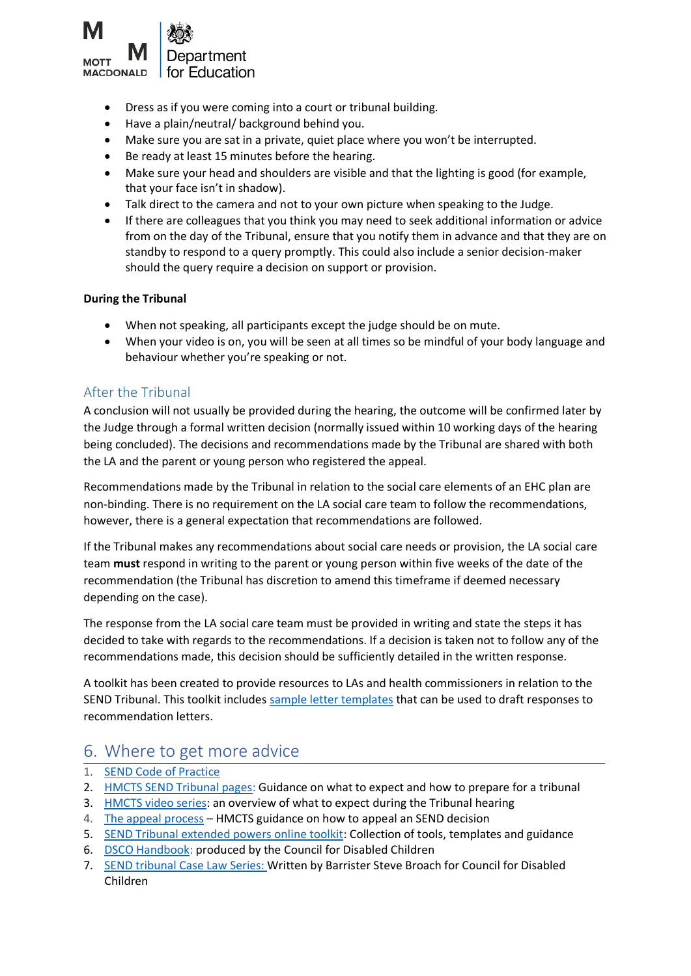

- Dress as if you were coming into a court or tribunal building.
- Have a plain/neutral/ background behind you.
- Make sure you are sat in a private, quiet place where you won't be interrupted.
- Be ready at least 15 minutes before the hearing.
- Make sure your head and shoulders are visible and that the lighting is good (for example, that your face isn't in shadow).
- Talk direct to the camera and not to your own picture when speaking to the Judge.
- If there are colleagues that you think you may need to seek additional information or advice from on the day of the Tribunal, ensure that you notify them in advance and that they are on standby to respond to a query promptly. This could also include a senior decision-maker should the query require a decision on support or provision.

### **During the Tribunal**

- When not speaking, all participants except the judge should be on mute.
- When your video is on, you will be seen at all times so be mindful of your body language and behaviour whether you're speaking or not.

## After the Tribunal

A conclusion will not usually be provided during the hearing, the outcome will be confirmed later by the Judge through a formal written decision (normally issued within 10 working days of the hearing being concluded). The decisions and recommendations made by the Tribunal are shared with both the LA and the parent or young person who registered the appeal.

Recommendations made by the Tribunal in relation to the social care elements of an EHC plan are non-binding. There is no requirement on the LA social care team to follow the recommendations, however, there is a general expectation that recommendations are followed.

If the Tribunal makes any recommendations about social care needs or provision, the LA social care team **must** respond in writing to the parent or young person within five weeks of the date of the recommendation (the Tribunal has discretion to amend this timeframe if deemed necessary depending on the case).

The response from the LA social care team must be provided in writing and state the steps it has decided to take with regards to the recommendations. If a decision is taken not to follow any of the recommendations made, this decision should be sufficiently detailed in the written response.

A toolkit has been created to provide resources to LAs and health commissioners in relation to the SEND Tribunal. This toolkit includes [sample letter templates](https://www.sendpathfinder.co.uk/send-single-route-of-redress-national-trial) that can be used to draft responses to recommendation letters.

## 6. Where to get more advice

- 1. [SEND Code of Practice](https://assets.publishing.service.gov.uk/government/uploads/system/uploads/attachment_data/file/398815/SEND_Code_of_Practice_January_2015.pdf)
- 2. [HMCTS SEND Tribunal pages:](https://www.gov.uk/courts-tribunals/first-tier-tribunal-special-educational-needs-and-disability) Guidance on what to expect and how to prepare for a tribunal
- 3. [HMCTS video series:](https://www.youtube.com/playlist?list=PLORVvk_w75PxU3wF72j3jLYqGqISyMhZ4) an overview of what to expect during the Tribunal hearing
- 4. [The appeal process](https://assets.publishing.service.gov.uk/government/uploads/system/uploads/attachment_data/file/776348/send37-eng.pdf) HMCTS guidance on how to appeal an SEND decision
- 5. [SEND Tribunal extended powers online toolkit:](https://www.sendpathfinder.co.uk/single-route-of-redress) Collection of tools, templates and guidance
- 6. [DSCO Handbook:](https://councilfordisabledchildren.org.uk/sites/default/files/uploads/attachments/DSCO%20Handbook%20-%20Implementing%20the%20role%20of%20the%20Designated%20Social%20Care%20Officer%20for%20SEND.pdf) produced by the Council for Disabled Children
- 7. [SEND tribunal Case Law](https://councilfordisabledchildren.org.uk/our-work/social-care/policy/case-law-directory) Series: Written by Barrister Steve Broach for Council for Disabled Children